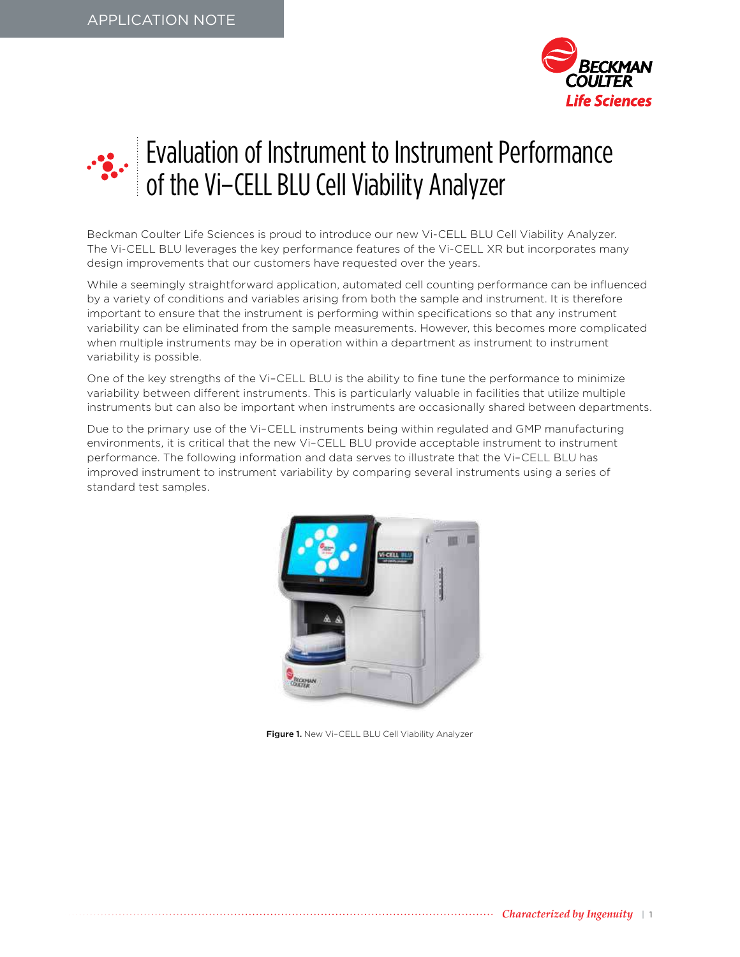



# Evaluation of Instrument to Instrument Performance of the Vi–CELL BLU Cell Viability Analyzer

Beckman Coulter Life Sciences is proud to introduce our new Vi-CELL BLU Cell Viability Analyzer. The Vi-CELL BLU leverages the key performance features of the Vi-CELL XR but incorporates many design improvements that our customers have requested over the years.

While a seemingly straightforward application, automated cell counting performance can be influenced by a variety of conditions and variables arising from both the sample and instrument. It is therefore important to ensure that the instrument is performing within specifications so that any instrument variability can be eliminated from the sample measurements. However, this becomes more complicated when multiple instruments may be in operation within a department as instrument to instrument variability is possible.

One of the key strengths of the Vi–CELL BLU is the ability to fine tune the performance to minimize variability between different instruments. This is particularly valuable in facilities that utilize multiple instruments but can also be important when instruments are occasionally shared between departments.

Due to the primary use of the Vi–CELL instruments being within regulated and GMP manufacturing environments, it is critical that the new Vi–CELL BLU provide acceptable instrument to instrument performance. The following information and data serves to illustrate that the Vi–CELL BLU has improved instrument to instrument variability by comparing several instruments using a series of standard test samples.



Figure 1. New Vi-CELL BLU Cell Viability Analyzer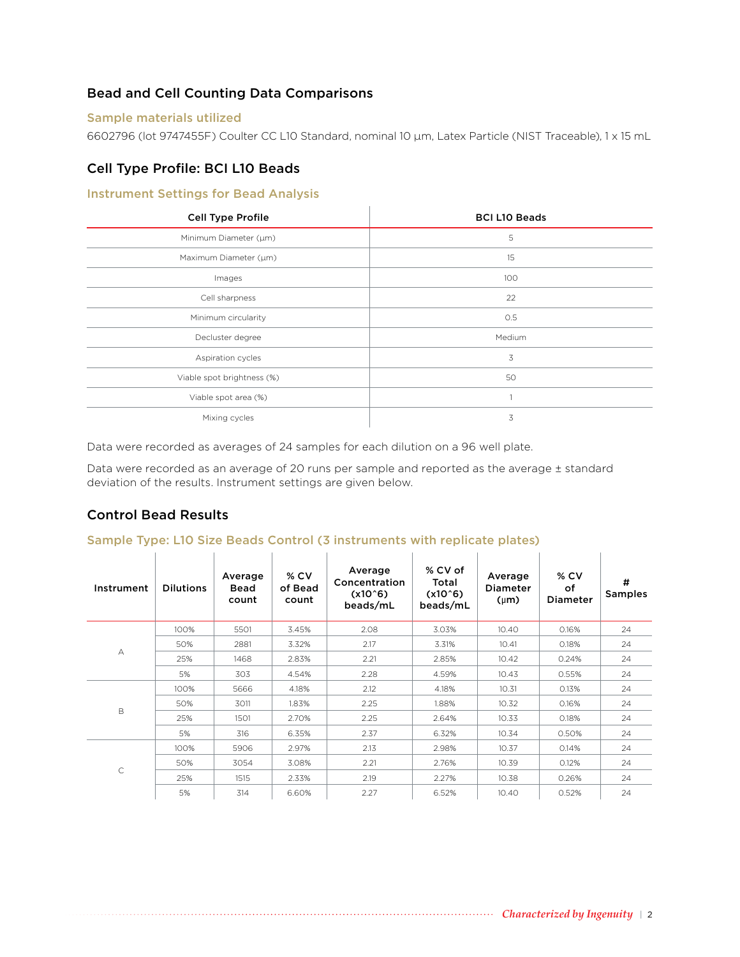# Bead and Cell Counting Data Comparisons

#### Sample materials utilized

6602796 (lot 9747455F) Coulter CC L10 Standard, nominal 10 μm, Latex Particle (NIST Traceable), 1 x 15 mL

# Cell Type Profile: BCI L10 Beads

## Instrument Settings for Bead Analysis

| <b>Cell Type Profile</b>   | <b>BCI L10 Beads</b> |
|----------------------------|----------------------|
| Minimum Diameter (µm)      | 5                    |
| Maximum Diameter (µm)      | 15                   |
| Images                     | 100                  |
| Cell sharpness             | 22                   |
| Minimum circularity        | 0.5                  |
| Decluster degree           | Medium               |
| Aspiration cycles          | 3                    |
| Viable spot brightness (%) | 50                   |
| Viable spot area (%)       |                      |
| Mixing cycles              | 3                    |

Data were recorded as averages of 24 samples for each dilution on a 96 well plate.

Data were recorded as an average of 20 runs per sample and reported as the average ± standard deviation of the results. Instrument settings are given below.

# Control Bead Results

#### Sample Type: L10 Size Beads Control (3 instruments with replicate plates)

| Instrument   | <b>Dilutions</b> | Average<br><b>Bead</b><br>count | $%$ CV<br>of Bead<br>count | Average<br>Concentration<br>$(x10^6)$<br>beads/mL | % CV of<br>Total<br>$(x10^6)$<br>beads/mL | Average<br><b>Diameter</b><br>$(\mu m)$ | $%$ CV<br>οf<br><b>Diameter</b> | #<br><b>Samples</b> |
|--------------|------------------|---------------------------------|----------------------------|---------------------------------------------------|-------------------------------------------|-----------------------------------------|---------------------------------|---------------------|
|              | 100%             | 5501                            | 3.45%                      | 2.08                                              | 3.03%                                     | 10.40                                   | 0.16%                           | 24                  |
|              | 50%              | 2881                            | 3.32%                      | 2.17                                              | 3.31%                                     | 10.41                                   | 0.18%                           | 24                  |
| А            | 25%              | 1468                            | 2.83%                      | 2.21                                              | 2.85%                                     | 10.42                                   | 0.24%                           | 24                  |
|              | 5%               | 303                             | 4.54%                      | 2.28                                              | 4.59%                                     | 10.43                                   | 0.55%                           | 24                  |
| B            | 100%             | 5666                            | 4.18%                      | 2.12                                              | 4.18%                                     | 10.31                                   | 0.13%                           | 24                  |
|              | 50%              | 3011                            | 1.83%                      | 2.25                                              | 1.88%                                     | 10.32                                   | 0.16%                           | 24                  |
|              | 25%              | 1501                            | 2.70%                      | 2.25                                              | 2.64%                                     | 10.33                                   | 0.18%                           | 24                  |
|              | 5%               | 316                             | 6.35%                      | 2.37                                              | 6.32%                                     | 10.34                                   | 0.50%                           | 24                  |
| $\mathsf{C}$ | 100%             | 5906                            | 2.97%                      | 2.13                                              | 2.98%                                     | 10.37                                   | 0.14%                           | 24                  |
|              | 50%              | 3054                            | 3.08%                      | 2.21                                              | 2.76%                                     | 10.39                                   | 0.12%                           | 24                  |
|              | 25%              | 1515                            | 2.33%                      | 2.19                                              | 2.27%                                     | 10.38                                   | 0.26%                           | 24                  |
|              | 5%               | 314                             | 6.60%                      | 2.27                                              | 6.52%                                     | 10.40                                   | 0.52%                           | 24                  |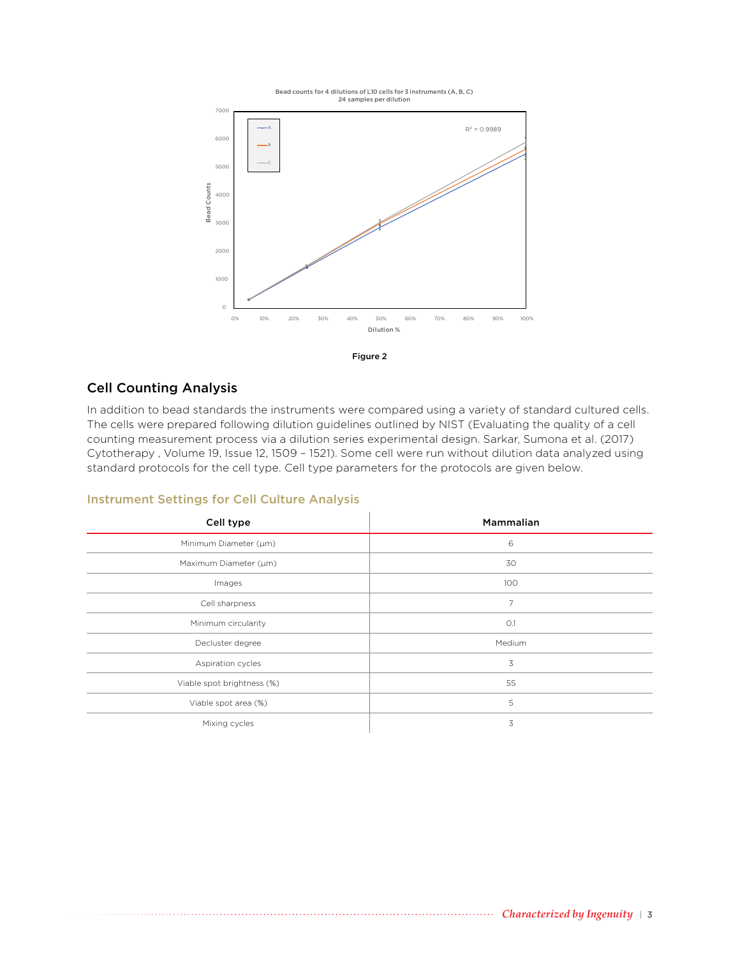





## Cell Counting Analysis

In addition to bead standards the instruments were compared using a variety of standard cultured cells. The cells were prepared following dilution guidelines outlined by NIST (Evaluating the quality of a cell counting measurement process via a dilution series experimental design. Sarkar, Sumona et al. (2017) Cytotherapy , Volume 19, Issue 12, 1509 – 1521). Some cell were run without dilution data analyzed using standard protocols for the cell type. Cell type parameters for the protocols are given below.

| Cell type                  | Mammalian |
|----------------------------|-----------|
| Minimum Diameter (µm)      | 6         |
| Maximum Diameter (µm)      | 30        |
| Images                     | 100       |
| Cell sharpness             | 7         |
| Minimum circularity        | O.1       |
| Decluster degree           | Medium    |
| Aspiration cycles          | 3         |
| Viable spot brightness (%) | 55        |
| Viable spot area (%)       | 5         |
| Mixing cycles              | 3         |

#### Instrument Settings for Cell Culture Analysis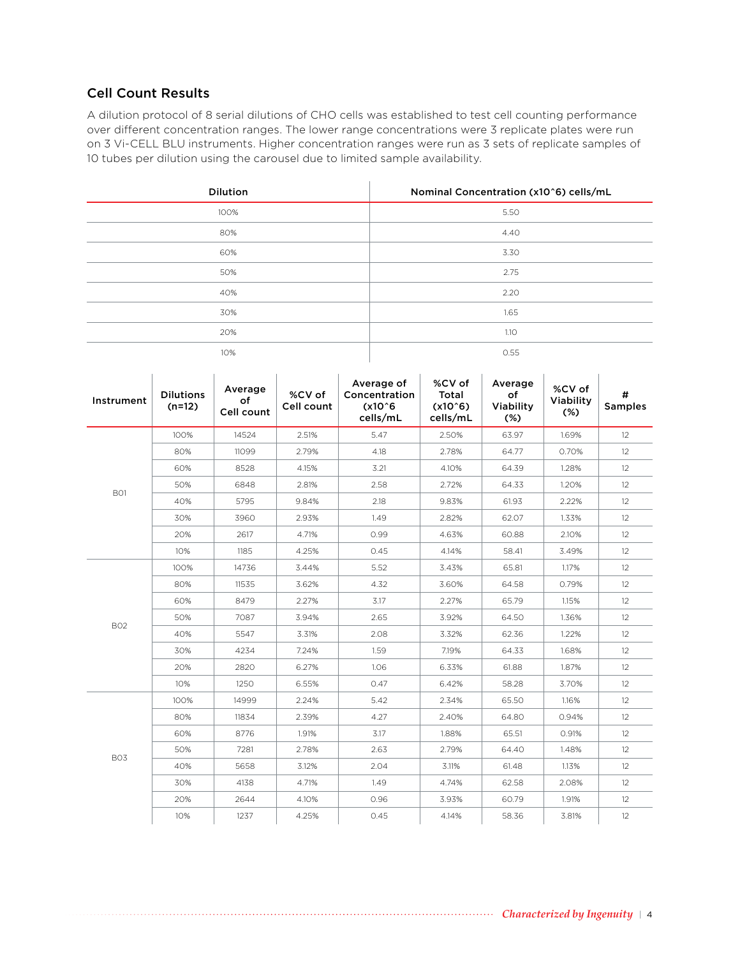## Cell Count Results

A dilution protocol of 8 serial dilutions of CHO cells was established to test cell counting performance over different concentration ranges. The lower range concentrations were 3 replicate plates were run on 3 Vi-CELL BLU instruments. Higher concentration ranges were run as 3 sets of replicate samples of 10 tubes per dilution using the carousel due to limited sample availability.

| <b>Dilution</b> | Nominal Concentration (x10^6) cells/mL |
|-----------------|----------------------------------------|
| 100%            | 5.50                                   |
| 80%             | 4.40                                   |
| 60%             | 3.30                                   |
| 50%             | 2.75                                   |
| 40%             | 2.20                                   |
| 30%             | 1.65                                   |
| 20%             | 1.10                                   |
| 10%             | 0.55                                   |
|                 |                                        |

| Instrument | <b>Dilutions</b><br>$(n=12)$ | Average<br>of<br>Cell count | %CV of<br>Cell count | Average of<br>Concentration<br>$(x10^6)$<br>cells/mL | %CV of<br>Total<br>$(x10^6)$<br>cells/mL | Average<br>of<br>Viability<br>$(\%)$ | %CV of<br>Viability<br>$(*)$ | #<br><b>Samples</b> |
|------------|------------------------------|-----------------------------|----------------------|------------------------------------------------------|------------------------------------------|--------------------------------------|------------------------------|---------------------|
|            | 100%                         | 14524                       | 2.51%                | 5.47                                                 | 2.50%                                    | 63.97                                | 1.69%                        | 12                  |
|            | 80%                          | 11099                       | 2.79%                | 4.18                                                 | 2.78%                                    | 64.77                                | 0.70%                        | 12                  |
|            | 60%                          | 8528                        | 4.15%                | 3.21                                                 | 4.10%                                    | 64.39                                | 1.28%                        | 12                  |
| BO1        | 50%                          | 6848                        | 2.81%                | 2.58                                                 | 2.72%                                    | 64.33                                | 1.20%                        | $12 \overline{ }$   |
|            | 40%                          | 5795                        | 9.84%                | 2.18                                                 | 9.83%                                    | 61.93                                | 2.22%                        | 12                  |
|            | 30%                          | 3960                        | 2.93%                | 1.49                                                 | 2.82%                                    | 62.07                                | 1.33%                        | 12                  |
|            | 20%                          | 2617                        | 4.71%                | 0.99                                                 | 4.63%                                    | 60.88                                | 2.10%                        | 12                  |
|            | 10%                          | 1185                        | 4.25%                | 0.45                                                 | 4.14%                                    | 58.41                                | 3.49%                        | 12                  |
|            | 100%                         | 14736                       | 3.44%                | 5.52                                                 | 3.43%                                    | 65.81                                | 1.17%                        | 12                  |
|            | 80%                          | 11535                       | 3.62%                | 4.32                                                 | 3.60%                                    | 64.58                                | 0.79%                        | 12                  |
|            | 60%                          | 8479                        | 2.27%                | 3.17                                                 | 2.27%                                    | 65.79                                | 1.15%                        | 12                  |
| <b>B02</b> | 50%                          | 7087                        | 3.94%                | 2.65                                                 | 3.92%                                    | 64.50                                | 1.36%                        | 12                  |
|            | 40%                          | 5547                        | 3.31%                | 2.08                                                 | 3.32%                                    | 62.36                                | 1.22%                        | 12                  |
|            | 30%                          | 4234                        | 7.24%                | 1.59                                                 | 7.19%                                    | 64.33                                | 1.68%                        | 12                  |
|            | 20%                          | 2820                        | 6.27%                | 1.06                                                 | 6.33%                                    | 61.88                                | 1.87%                        | 12                  |
|            | 10%                          | 1250                        | 6.55%                | 0.47                                                 | 6.42%                                    | 58.28                                | 3.70%                        | 12                  |
|            | 100%                         | 14999                       | 2.24%                | 5.42                                                 | 2.34%                                    | 65.50                                | 1.16%                        | 12                  |
|            | 80%                          | 11834                       | 2.39%                | 4.27                                                 | 2.40%                                    | 64.80                                | 0.94%                        | 12                  |
| <b>BO3</b> | 60%                          | 8776                        | 1.91%                | 3.17                                                 | 1.88%                                    | 65.51                                | 0.91%                        | $12 \overline{ }$   |
|            | 50%                          | 7281                        | 2.78%                | 2.63                                                 | 2.79%                                    | 64.40                                | 1.48%                        | 12                  |
|            | 40%                          | 5658                        | 3.12%                | 2.04                                                 | 3.11%                                    | 61.48                                | 1.13%                        | 12                  |
|            | 30%                          | 4138                        | 4.71%                | 1.49                                                 | 4.74%                                    | 62.58                                | 2.08%                        | $12 \overline{ }$   |
|            | 20%                          | 2644                        | 4.10%                | 0.96                                                 | 3.93%                                    | 60.79                                | 1.91%                        | 12                  |
|            | 10%                          | 1237                        | 4.25%                | 0.45                                                 | 4.14%                                    | 58.36                                | 3.81%                        | 12                  |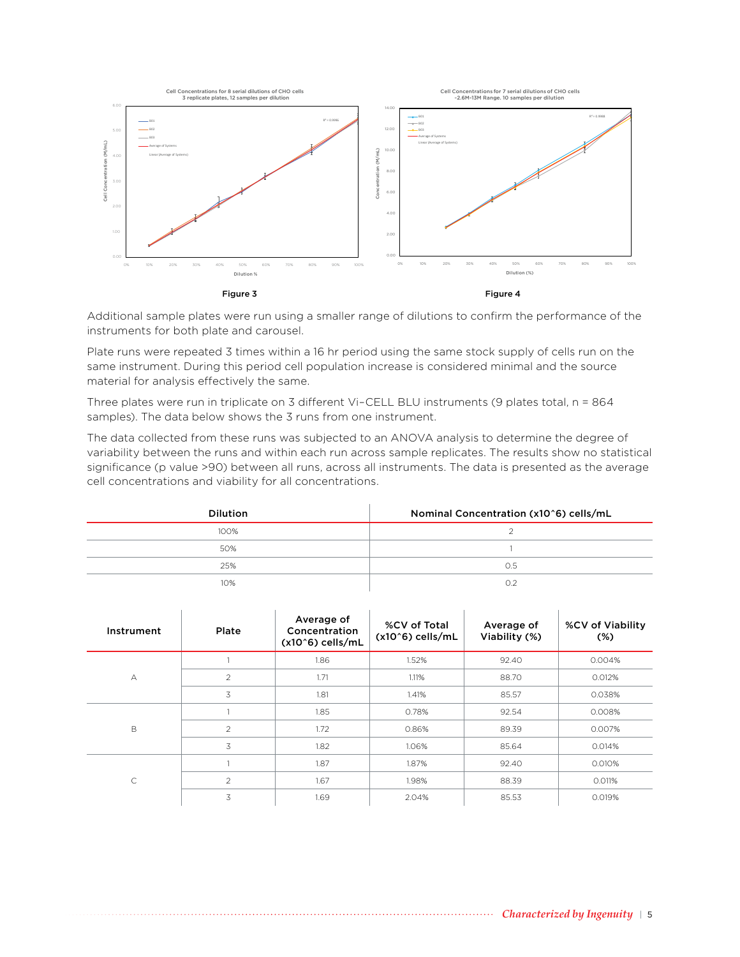

Additional sample plates were run using a smaller range of dilutions to confirm the performance of the instruments for both plate and carousel.

Plate runs were repeated 3 times within a 16 hr period using the same stock supply of cells run on the same instrument. During this period cell population increase is considered minimal and the source material for analysis effectively the same.

Three plates were run in triplicate on 3 different Vi–CELL BLU instruments (9 plates total, n = 864 samples). The data below shows the 3 runs from one instrument.

The data collected from these runs was subjected to an ANOVA analysis to determine the degree of variability between the runs and within each run across sample replicates. The results show no statistical significance (p value >90) between all runs, across all instruments. The data is presented as the average cell concentrations and viability for all concentrations.

| <b>Dilution</b> | Nominal Concentration (x10^6) cells/mL |
|-----------------|----------------------------------------|
| 100%            |                                        |
| 50%             |                                        |
| 25%             | O.5                                    |
| 10%             | ∩≎                                     |

| Instrument  | Plate          | Average of<br>Concentration<br>$(x10^6)$ cells/mL | %CV of Total<br>$(x10^6)$ cells/mL | Average of<br>Viability (%) | %CV of Viability<br>$(\%)$ |
|-------------|----------------|---------------------------------------------------|------------------------------------|-----------------------------|----------------------------|
|             |                | 1.86                                              | 1.52%                              | 92.40                       | 0.004%                     |
| A           | $\overline{2}$ | 1.71                                              | 1.11%                              | 88.70                       | 0.012%                     |
|             | 3              | 1.81                                              | 1.41%                              | 85.57                       | 0.038%                     |
| $\mathsf B$ |                | 1.85                                              | 0.78%                              | 92.54                       | 0.008%                     |
|             | 2              | 1.72                                              | 0.86%                              | 89.39                       | 0.007%                     |
|             | 3              | 1.82                                              | 1.06%                              | 85.64                       | 0.014%                     |
| C           |                | 1.87                                              | 1.87%                              | 92.40                       | 0.010%                     |
|             | $\overline{c}$ | 1.67                                              | 1.98%                              | 88.39                       | 0.011%                     |
|             | 3              | 1.69                                              | 2.04%                              | 85.53                       | 0.019%                     |